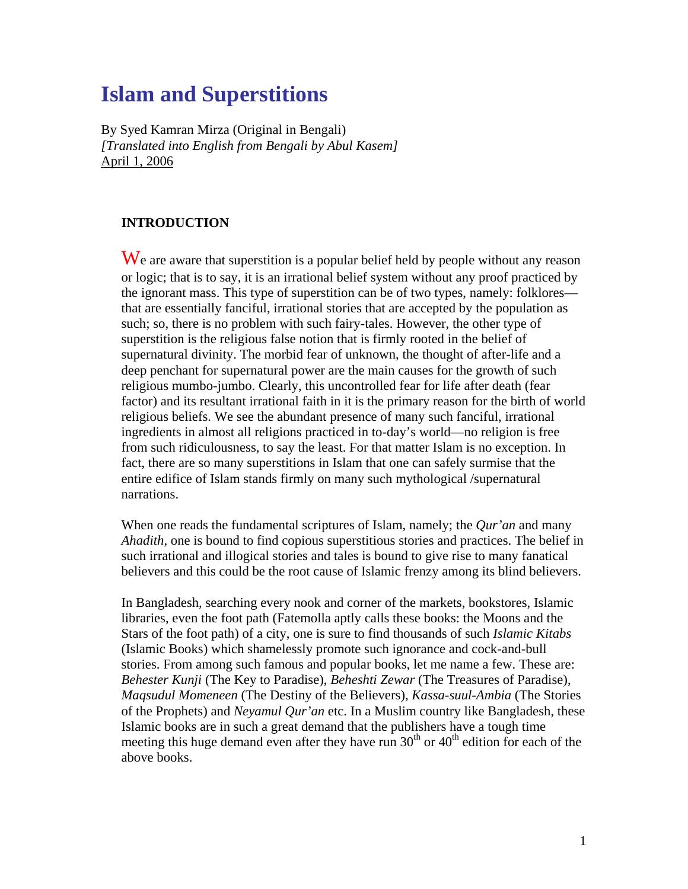# **Islam and Superstitions**

By Syed Kamran Mirza (Original in Bengali) *[Translated into English from Bengali by Abul Kasem]*  April 1, 2006

#### **INTRODUCTION**

We are aware that superstition is a popular belief held by people without any reason or logic; that is to say, it is an irrational belief system without any proof practiced by the ignorant mass. This type of superstition can be of two types, namely: folklores that are essentially fanciful, irrational stories that are accepted by the population as such; so, there is no problem with such fairy-tales. However, the other type of superstition is the religious false notion that is firmly rooted in the belief of supernatural divinity. The morbid fear of unknown, the thought of after-life and a deep penchant for supernatural power are the main causes for the growth of such religious mumbo-jumbo. Clearly, this uncontrolled fear for life after death (fear factor) and its resultant irrational faith in it is the primary reason for the birth of world religious beliefs. We see the abundant presence of many such fanciful, irrational ingredients in almost all religions practiced in to-day's world—no religion is free from such ridiculousness, to say the least. For that matter Islam is no exception. In fact, there are so many superstitions in Islam that one can safely surmise that the entire edifice of Islam stands firmly on many such mythological /supernatural narrations.

When one reads the fundamental scriptures of Islam, namely; the *Qur'an* and many *Ahadith,* one is bound to find copious superstitious stories and practices. The belief in such irrational and illogical stories and tales is bound to give rise to many fanatical believers and this could be the root cause of Islamic frenzy among its blind believers.

In Bangladesh, searching every nook and corner of the markets, bookstores, Islamic libraries, even the foot path (Fatemolla aptly calls these books: the Moons and the Stars of the foot path) of a city, one is sure to find thousands of such *Islamic Kitabs* (Islamic Books) which shamelessly promote such ignorance and cock-and-bull stories. From among such famous and popular books, let me name a few. These are: *Behester Kunji* (The Key to Paradise), *Beheshti Zewar* (The Treasures of Paradise), *Maqsudul Momeneen* (The Destiny of the Believers), *Kassa-suul-Ambia* (The Stories of the Prophets) and *Neyamul Qur'an* etc. In a Muslim country like Bangladesh, these Islamic books are in such a great demand that the publishers have a tough time meeting this huge demand even after they have run  $30<sup>th</sup>$  or  $40<sup>th</sup>$  edition for each of the above books.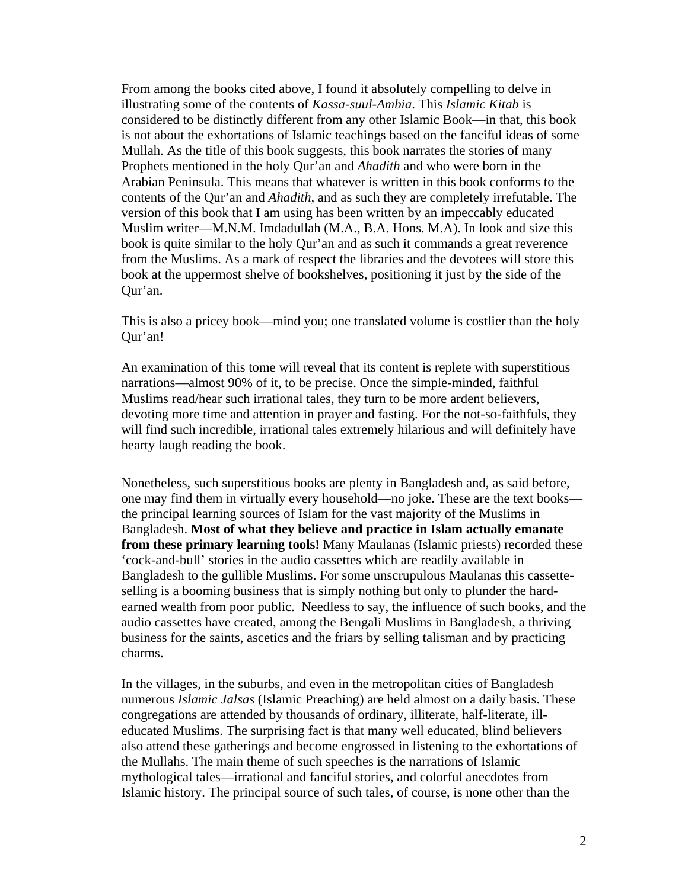From among the books cited above, I found it absolutely compelling to delve in illustrating some of the contents of *Kassa-suul-Ambia*. This *Islamic Kitab* is considered to be distinctly different from any other Islamic Book—in that, this book is not about the exhortations of Islamic teachings based on the fanciful ideas of some Mullah. As the title of this book suggests, this book narrates the stories of many Prophets mentioned in the holy Qur'an and *Ahadith* and who were born in the Arabian Peninsula. This means that whatever is written in this book conforms to the contents of the Qur'an and *Ahadith,* and as such they are completely irrefutable. The version of this book that I am using has been written by an impeccably educated Muslim writer—M.N.M. Imdadullah (M.A., B.A. Hons. M.A). In look and size this book is quite similar to the holy Qur'an and as such it commands a great reverence from the Muslims. As a mark of respect the libraries and the devotees will store this book at the uppermost shelve of bookshelves, positioning it just by the side of the Qur'an.

This is also a pricey book—mind you; one translated volume is costlier than the holy Qur'an!

An examination of this tome will reveal that its content is replete with superstitious narrations—almost 90% of it, to be precise. Once the simple-minded, faithful Muslims read/hear such irrational tales, they turn to be more ardent believers, devoting more time and attention in prayer and fasting. For the not-so-faithfuls, they will find such incredible, irrational tales extremely hilarious and will definitely have hearty laugh reading the book.

Nonetheless, such superstitious books are plenty in Bangladesh and, as said before, one may find them in virtually every household—no joke. These are the text books the principal learning sources of Islam for the vast majority of the Muslims in Bangladesh. **Most of what they believe and practice in Islam actually emanate from these primary learning tools!** Many Maulanas (Islamic priests) recorded these 'cock-and-bull' stories in the audio cassettes which are readily available in Bangladesh to the gullible Muslims. For some unscrupulous Maulanas this cassetteselling is a booming business that is simply nothing but only to plunder the hardearned wealth from poor public. Needless to say, the influence of such books, and the audio cassettes have created, among the Bengali Muslims in Bangladesh, a thriving business for the saints, ascetics and the friars by selling talisman and by practicing charms.

In the villages, in the suburbs, and even in the metropolitan cities of Bangladesh numerous *Islamic Jalsas* (Islamic Preaching) are held almost on a daily basis. These congregations are attended by thousands of ordinary, illiterate, half-literate, illeducated Muslims. The surprising fact is that many well educated, blind believers also attend these gatherings and become engrossed in listening to the exhortations of the Mullahs. The main theme of such speeches is the narrations of Islamic mythological tales—irrational and fanciful stories, and colorful anecdotes from Islamic history. The principal source of such tales, of course, is none other than the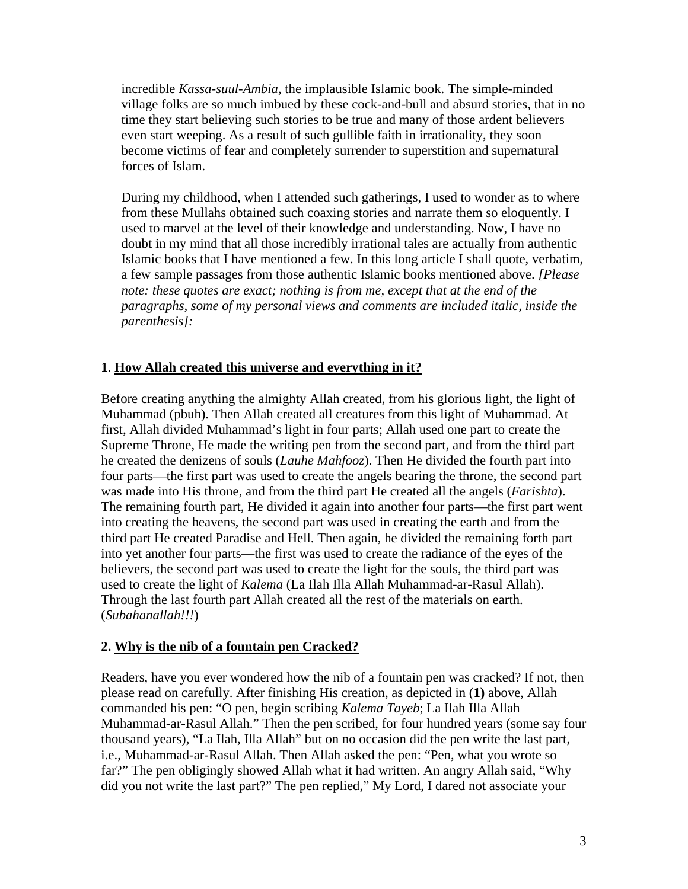incredible *Kassa-suul-Ambia,* the implausible Islamic book. The simple-minded village folks are so much imbued by these cock-and-bull and absurd stories, that in no time they start believing such stories to be true and many of those ardent believers even start weeping. As a result of such gullible faith in irrationality, they soon become victims of fear and completely surrender to superstition and supernatural forces of Islam.

During my childhood, when I attended such gatherings, I used to wonder as to where from these Mullahs obtained such coaxing stories and narrate them so eloquently. I used to marvel at the level of their knowledge and understanding. Now, I have no doubt in my mind that all those incredibly irrational tales are actually from authentic Islamic books that I have mentioned a few. In this long article I shall quote, verbatim, a few sample passages from those authentic Islamic books mentioned above. *[Please note: these quotes are exact; nothing is from me, except that at the end of the paragraphs, some of my personal views and comments are included italic, inside the parenthesis]:* 

#### **1**. **How Allah created this universe and everything in it?**

Before creating anything the almighty Allah created, from his glorious light, the light of Muhammad (pbuh). Then Allah created all creatures from this light of Muhammad. At first, Allah divided Muhammad's light in four parts; Allah used one part to create the Supreme Throne, He made the writing pen from the second part, and from the third part he created the denizens of souls (*Lauhe Mahfooz*). Then He divided the fourth part into four parts—the first part was used to create the angels bearing the throne, the second part was made into His throne, and from the third part He created all the angels (*Farishta*). The remaining fourth part, He divided it again into another four parts—the first part went into creating the heavens, the second part was used in creating the earth and from the third part He created Paradise and Hell. Then again, he divided the remaining forth part into yet another four parts—the first was used to create the radiance of the eyes of the believers, the second part was used to create the light for the souls, the third part was used to create the light of *Kalema* (La Ilah Illa Allah Muhammad-ar-Rasul Allah). Through the last fourth part Allah created all the rest of the materials on earth. (*Subahanallah!!!*)

#### **2. Why is the nib of a fountain pen Cracked?**

Readers, have you ever wondered how the nib of a fountain pen was cracked? If not, then please read on carefully. After finishing His creation, as depicted in (**1)** above, Allah commanded his pen: "O pen, begin scribing *Kalema Tayeb*; La Ilah Illa Allah Muhammad-ar-Rasul Allah." Then the pen scribed, for four hundred years (some say four thousand years), "La Ilah, Illa Allah" but on no occasion did the pen write the last part, i.e., Muhammad-ar-Rasul Allah. Then Allah asked the pen: "Pen, what you wrote so far?" The pen obligingly showed Allah what it had written. An angry Allah said, "Why did you not write the last part?" The pen replied," My Lord, I dared not associate your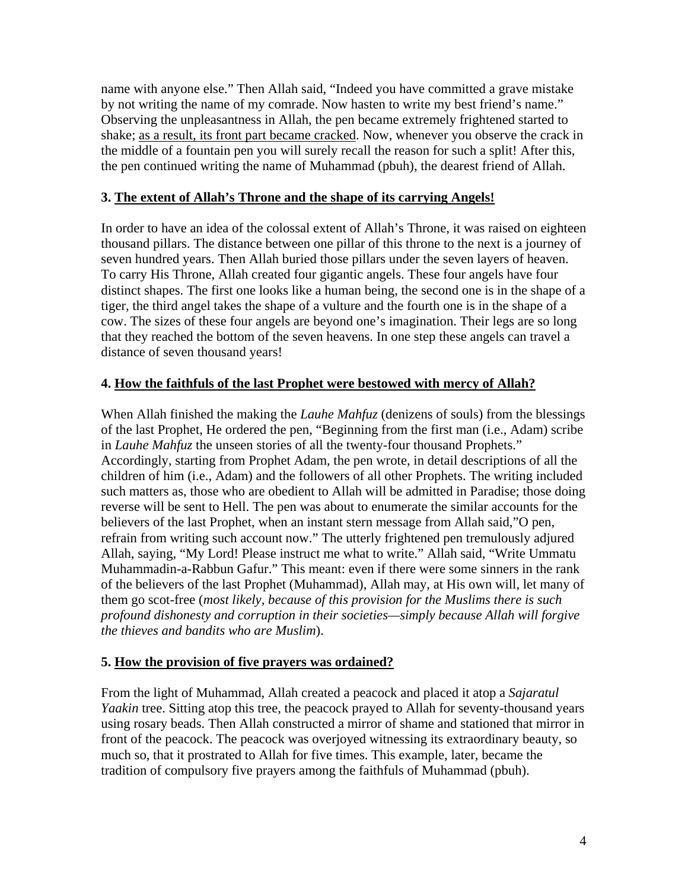name with anyone else." Then Allah said, "Indeed you have committed a grave mistake by not writing the name of my comrade. Now hasten to write my best friend's name." Observing the unpleasantness in Allah, the pen became extremely frightened started to shake; as a result, its front part became cracked. Now, whenever you observe the crack in the middle of a fountain pen you will surely recall the reason for such a split! After this, the pen continued writing the name of Muhammad (pbuh), the dearest friend of Allah.

#### **3. The extent of Allah's Throne and the shape of its carrying Angels!**

In order to have an idea of the colossal extent of Allah's Throne, it was raised on eighteen thousand pillars. The distance between one pillar of this throne to the next is a journey of seven hundred years. Then Allah buried those pillars under the seven layers of heaven. To carry His Throne, Allah created four gigantic angels. These four angels have four distinct shapes. The first one looks like a human being, the second one is in the shape of a tiger, the third angel takes the shape of a vulture and the fourth one is in the shape of a cow. The sizes of these four angels are beyond one's imagination. Their legs are so long that they reached the bottom of the seven heavens. In one step these angels can travel a distance of seven thousand years!

#### **4. How the faithfuls of the last Prophet were bestowed with mercy of Allah?**

When Allah finished the making the *Lauhe Mahfuz* (denizens of souls) from the blessings of the last Prophet, He ordered the pen, "Beginning from the first man (i.e., Adam) scribe in *Lauhe Mahfuz* the unseen stories of all the twenty-four thousand Prophets." Accordingly, starting from Prophet Adam, the pen wrote, in detail descriptions of all the children of him (i.e., Adam) and the followers of all other Prophets. The writing included such matters as, those who are obedient to Allah will be admitted in Paradise; those doing reverse will be sent to Hell. The pen was about to enumerate the similar accounts for the believers of the last Prophet, when an instant stern message from Allah said,"O pen, refrain from writing such account now." The utterly frightened pen tremulously adjured Allah, saying, "My Lord! Please instruct me what to write." Allah said, "Write Ummatu Muhammadin-a-Rabbun Gafur." This meant: even if there were some sinners in the rank of the believers of the last Prophet (Muhammad), Allah may, at His own will, let many of them go scot-free (*most likely, because of this provision for the Muslims there is such profound dishonesty and corruption in their societies—simply because Allah will forgive the thieves and bandits who are Muslim*).

#### **5. How the provision of five prayers was ordained?**

From the light of Muhammad, Allah created a peacock and placed it atop a *Sajaratul Yaakin* tree. Sitting atop this tree, the peacock prayed to Allah for seventy-thousand years using rosary beads. Then Allah constructed a mirror of shame and stationed that mirror in front of the peacock. The peacock was overjoyed witnessing its extraordinary beauty, so much so, that it prostrated to Allah for five times. This example, later, became the tradition of compulsory five prayers among the faithfuls of Muhammad (pbuh).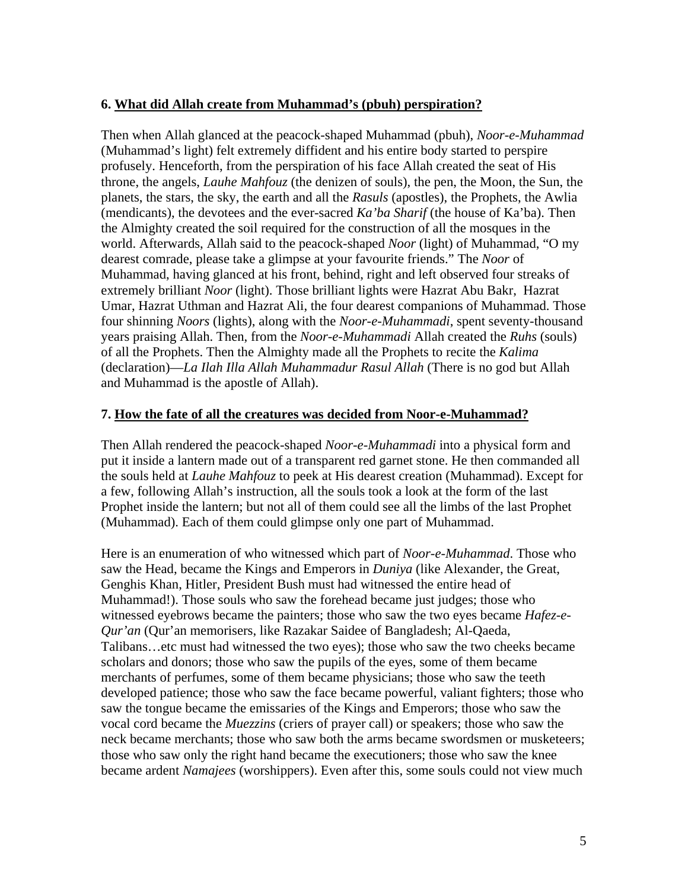#### **6. What did Allah create from Muhammad's (pbuh) perspiration?**

Then when Allah glanced at the peacock-shaped Muhammad (pbuh), *Noor-e-Muhammad* (Muhammad's light) felt extremely diffident and his entire body started to perspire profusely. Henceforth, from the perspiration of his face Allah created the seat of His throne, the angels, *Lauhe Mahfouz* (the denizen of souls), the pen, the Moon, the Sun, the planets, the stars, the sky, the earth and all the *Rasuls* (apostles), the Prophets, the Awlia (mendicants), the devotees and the ever-sacred *Ka'ba Sharif* (the house of Ka'ba). Then the Almighty created the soil required for the construction of all the mosques in the world. Afterwards, Allah said to the peacock-shaped *Noor* (light) of Muhammad, "O my dearest comrade, please take a glimpse at your favourite friends." The *Noor* of Muhammad, having glanced at his front, behind, right and left observed four streaks of extremely brilliant *Noor* (light). Those brilliant lights were Hazrat Abu Bakr, Hazrat Umar, Hazrat Uthman and Hazrat Ali, the four dearest companions of Muhammad. Those four shinning *Noors* (lights), along with the *Noor-e-Muhammadi*, spent seventy-thousand years praising Allah. Then, from the *Noor-e-Muhammadi* Allah created the *Ruhs* (souls) of all the Prophets. Then the Almighty made all the Prophets to recite the *Kalima* (declaration)—*La Ilah Illa Allah Muhammadur Rasul Allah* (There is no god but Allah and Muhammad is the apostle of Allah).

#### **7. How the fate of all the creatures was decided from Noor-e-Muhammad?**

Then Allah rendered the peacock-shaped *Noor-e-Muhammadi* into a physical form and put it inside a lantern made out of a transparent red garnet stone. He then commanded all the souls held at *Lauhe Mahfouz* to peek at His dearest creation (Muhammad). Except for a few, following Allah's instruction, all the souls took a look at the form of the last Prophet inside the lantern; but not all of them could see all the limbs of the last Prophet (Muhammad). Each of them could glimpse only one part of Muhammad.

Here is an enumeration of who witnessed which part of *Noor-e-Muhammad*. Those who saw the Head, became the Kings and Emperors in *Duniya* (like Alexander, the Great, Genghis Khan, Hitler, President Bush must had witnessed the entire head of Muhammad!). Those souls who saw the forehead became just judges; those who witnessed eyebrows became the painters; those who saw the two eyes became *Hafez-e-Qur'an* (Qur'an memorisers, like Razakar Saidee of Bangladesh; Al-Qaeda, Talibans…etc must had witnessed the two eyes); those who saw the two cheeks became scholars and donors; those who saw the pupils of the eyes, some of them became merchants of perfumes, some of them became physicians; those who saw the teeth developed patience; those who saw the face became powerful, valiant fighters; those who saw the tongue became the emissaries of the Kings and Emperors; those who saw the vocal cord became the *Muezzins* (criers of prayer call) or speakers; those who saw the neck became merchants; those who saw both the arms became swordsmen or musketeers; those who saw only the right hand became the executioners; those who saw the knee became ardent *Namajees* (worshippers). Even after this, some souls could not view much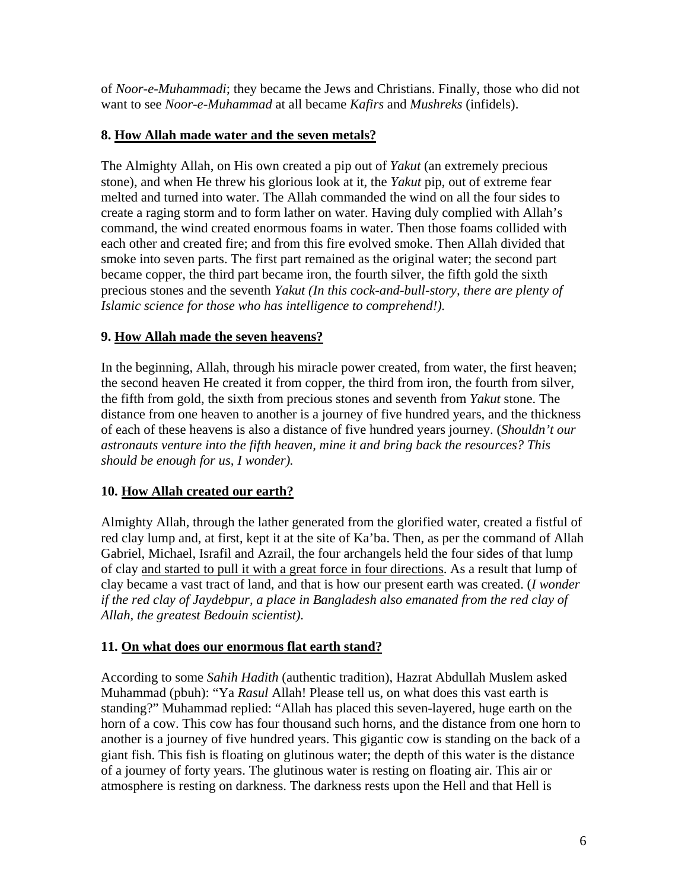of *Noor-e-Muhammadi*; they became the Jews and Christians. Finally, those who did not want to see *Noor-e-Muhammad* at all became *Kafirs* and *Mushreks* (infidels).

#### **8. How Allah made water and the seven metals?**

The Almighty Allah, on His own created a pip out of *Yakut* (an extremely precious stone), and when He threw his glorious look at it, the *Yakut* pip, out of extreme fear melted and turned into water. The Allah commanded the wind on all the four sides to create a raging storm and to form lather on water. Having duly complied with Allah's command, the wind created enormous foams in water. Then those foams collided with each other and created fire; and from this fire evolved smoke. Then Allah divided that smoke into seven parts. The first part remained as the original water; the second part became copper, the third part became iron, the fourth silver, the fifth gold the sixth precious stones and the seventh *Yakut (In this cock-and-bull-story, there are plenty of Islamic science for those who has intelligence to comprehend!).*

## **9. How Allah made the seven heavens?**

In the beginning, Allah, through his miracle power created, from water, the first heaven; the second heaven He created it from copper, the third from iron, the fourth from silver, the fifth from gold, the sixth from precious stones and seventh from *Yakut* stone. The distance from one heaven to another is a journey of five hundred years, and the thickness of each of these heavens is also a distance of five hundred years journey. (*Shouldn't our astronauts venture into the fifth heaven, mine it and bring back the resources? This should be enough for us, I wonder).* 

## **10. How Allah created our earth?**

Almighty Allah, through the lather generated from the glorified water, created a fistful of red clay lump and, at first, kept it at the site of Ka'ba. Then, as per the command of Allah Gabriel, Michael, Israfil and Azrail, the four archangels held the four sides of that lump of clay and started to pull it with a great force in four directions. As a result that lump of clay became a vast tract of land, and that is how our present earth was created. (*I wonder if the red clay of Jaydebpur, a place in Bangladesh also emanated from the red clay of Allah, the greatest Bedouin scientist).* 

## **11. On what does our enormous flat earth stand?**

According to some *Sahih Hadith* (authentic tradition), Hazrat Abdullah Muslem asked Muhammad (pbuh): "Ya *Rasul* Allah! Please tell us, on what does this vast earth is standing?" Muhammad replied: "Allah has placed this seven-layered, huge earth on the horn of a cow. This cow has four thousand such horns, and the distance from one horn to another is a journey of five hundred years. This gigantic cow is standing on the back of a giant fish. This fish is floating on glutinous water; the depth of this water is the distance of a journey of forty years. The glutinous water is resting on floating air. This air or atmosphere is resting on darkness. The darkness rests upon the Hell and that Hell is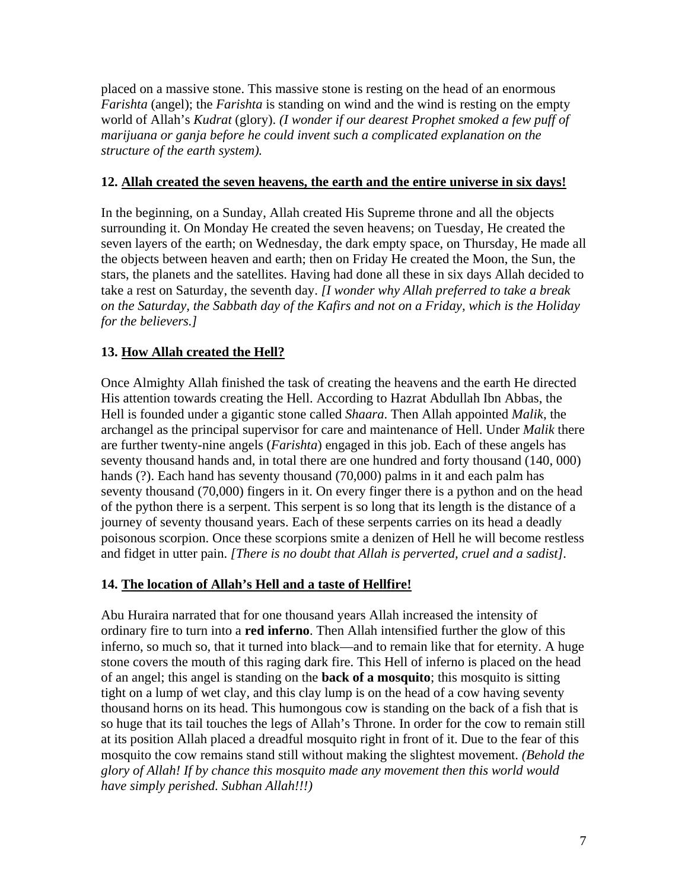placed on a massive stone. This massive stone is resting on the head of an enormous *Farishta* (angel); the *Farishta* is standing on wind and the wind is resting on the empty world of Allah's *Kudrat* (glory). *(I wonder if our dearest Prophet smoked a few puff of marijuana or ganja before he could invent such a complicated explanation on the structure of the earth system).* 

#### **12. Allah created the seven heavens, the earth and the entire universe in six days!**

In the beginning, on a Sunday, Allah created His Supreme throne and all the objects surrounding it. On Monday He created the seven heavens; on Tuesday, He created the seven layers of the earth; on Wednesday, the dark empty space, on Thursday, He made all the objects between heaven and earth; then on Friday He created the Moon, the Sun, the stars, the planets and the satellites. Having had done all these in six days Allah decided to take a rest on Saturday, the seventh day. *[I wonder why Allah preferred to take a break on the Saturday, the Sabbath day of the Kafirs and not on a Friday, which is the Holiday for the believers.]* 

#### **13. How Allah created the Hell?**

Once Almighty Allah finished the task of creating the heavens and the earth He directed His attention towards creating the Hell. According to Hazrat Abdullah Ibn Abbas, the Hell is founded under a gigantic stone called *Shaara*. Then Allah appointed *Malik*, the archangel as the principal supervisor for care and maintenance of Hell. Under *Malik* there are further twenty-nine angels (*Farishta*) engaged in this job. Each of these angels has seventy thousand hands and, in total there are one hundred and forty thousand (140, 000) hands (?). Each hand has seventy thousand (70,000) palms in it and each palm has seventy thousand (70,000) fingers in it. On every finger there is a python and on the head of the python there is a serpent. This serpent is so long that its length is the distance of a journey of seventy thousand years. Each of these serpents carries on its head a deadly poisonous scorpion. Once these scorpions smite a denizen of Hell he will become restless and fidget in utter pain. *[There is no doubt that Allah is perverted, cruel and a sadist].*

#### **14. The location of Allah's Hell and a taste of Hellfire!**

Abu Huraira narrated that for one thousand years Allah increased the intensity of ordinary fire to turn into a **red inferno**. Then Allah intensified further the glow of this inferno, so much so, that it turned into black—and to remain like that for eternity. A huge stone covers the mouth of this raging dark fire. This Hell of inferno is placed on the head of an angel; this angel is standing on the **back of a mosquito**; this mosquito is sitting tight on a lump of wet clay, and this clay lump is on the head of a cow having seventy thousand horns on its head. This humongous cow is standing on the back of a fish that is so huge that its tail touches the legs of Allah's Throne. In order for the cow to remain still at its position Allah placed a dreadful mosquito right in front of it. Due to the fear of this mosquito the cow remains stand still without making the slightest movement. *(Behold the glory of Allah! If by chance this mosquito made any movement then this world would have simply perished. Subhan Allah!!!)*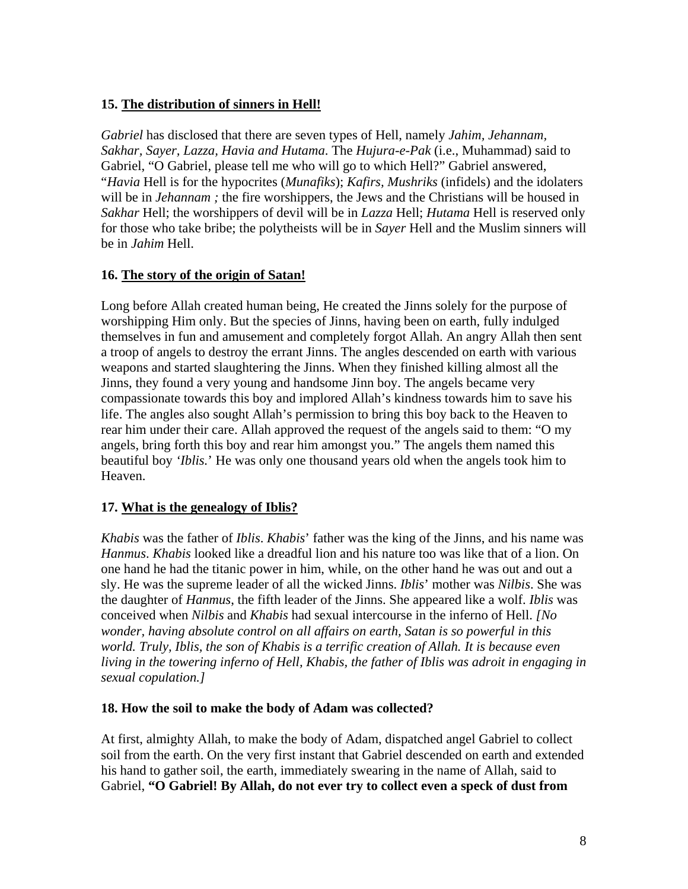#### **15. The distribution of sinners in Hell!**

*Gabriel* has disclosed that there are seven types of Hell, namely *Jahim, Jehannam, Sakhar, Sayer, Lazza, Havia and Hutama*. The *Hujura-e-Pak* (i.e., Muhammad) said to Gabriel, "O Gabriel, please tell me who will go to which Hell?" Gabriel answered, "*Havia* Hell is for the hypocrites (*Munafiks*); *Kafirs, Mushriks* (infidels) and the idolaters will be in *Jehannam*; the fire worshippers, the Jews and the Christians will be housed in *Sakhar* Hell; the worshippers of devil will be in *Lazza* Hell; *Hutama* Hell is reserved only for those who take bribe; the polytheists will be in *Sayer* Hell and the Muslim sinners will be in *Jahim* Hell.

#### **16. The story of the origin of Satan!**

Long before Allah created human being, He created the Jinns solely for the purpose of worshipping Him only. But the species of Jinns, having been on earth, fully indulged themselves in fun and amusement and completely forgot Allah. An angry Allah then sent a troop of angels to destroy the errant Jinns. The angles descended on earth with various weapons and started slaughtering the Jinns. When they finished killing almost all the Jinns, they found a very young and handsome Jinn boy. The angels became very compassionate towards this boy and implored Allah's kindness towards him to save his life. The angles also sought Allah's permission to bring this boy back to the Heaven to rear him under their care. Allah approved the request of the angels said to them: "O my angels, bring forth this boy and rear him amongst you." The angels them named this beautiful boy *'Iblis.*' He was only one thousand years old when the angels took him to Heaven.

#### **17. What is the genealogy of Iblis?**

*Khabis* was the father of *Iblis*. *Khabis*' father was the king of the Jinns, and his name was *Hanmus*. *Khabis* looked like a dreadful lion and his nature too was like that of a lion. On one hand he had the titanic power in him, while, on the other hand he was out and out a sly. He was the supreme leader of all the wicked Jinns. *Iblis*' mother was *Nilbis*. She was the daughter of *Hanmus*, the fifth leader of the Jinns. She appeared like a wolf. *Iblis* was conceived when *Nilbis* and *Khabis* had sexual intercourse in the inferno of Hell. *[No wonder, having absolute control on all affairs on earth, Satan is so powerful in this world. Truly, Iblis, the son of Khabis is a terrific creation of Allah. It is because even living in the towering inferno of Hell, Khabis, the father of Iblis was adroit in engaging in sexual copulation.]* 

#### **18. How the soil to make the body of Adam was collected?**

At first, almighty Allah, to make the body of Adam, dispatched angel Gabriel to collect soil from the earth. On the very first instant that Gabriel descended on earth and extended his hand to gather soil, the earth, immediately swearing in the name of Allah, said to Gabriel, **"O Gabriel! By Allah, do not ever try to collect even a speck of dust from**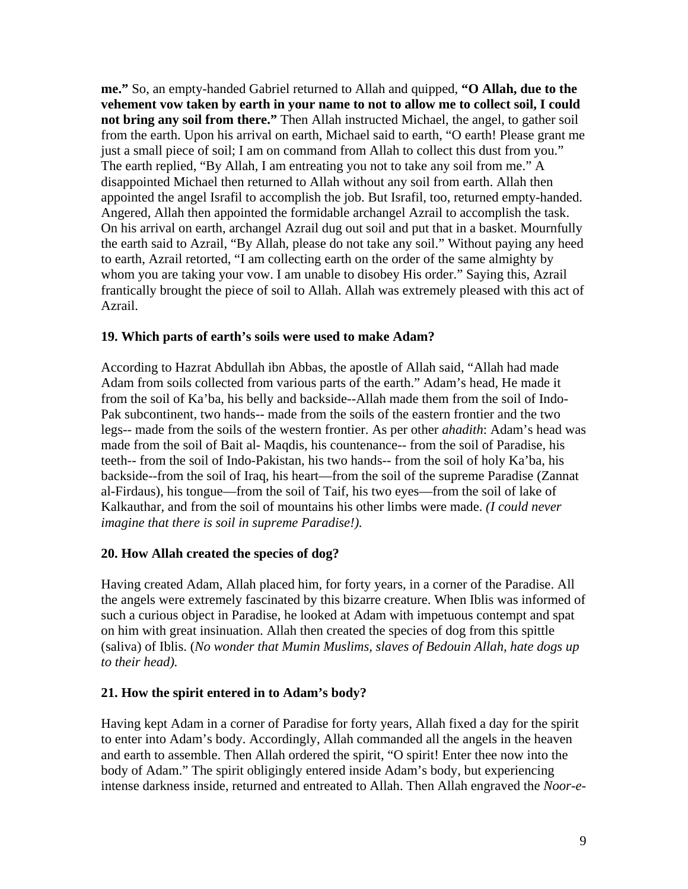**me."** So, an empty-handed Gabriel returned to Allah and quipped, **"O Allah, due to the vehement vow taken by earth in your name to not to allow me to collect soil, I could not bring any soil from there."** Then Allah instructed Michael, the angel, to gather soil from the earth. Upon his arrival on earth, Michael said to earth, "O earth! Please grant me just a small piece of soil; I am on command from Allah to collect this dust from you." The earth replied, "By Allah, I am entreating you not to take any soil from me." A disappointed Michael then returned to Allah without any soil from earth. Allah then appointed the angel Israfil to accomplish the job. But Israfil, too, returned empty-handed. Angered, Allah then appointed the formidable archangel Azrail to accomplish the task. On his arrival on earth, archangel Azrail dug out soil and put that in a basket. Mournfully the earth said to Azrail, "By Allah, please do not take any soil." Without paying any heed to earth, Azrail retorted, "I am collecting earth on the order of the same almighty by whom you are taking your vow. I am unable to disobey His order." Saying this, Azrail frantically brought the piece of soil to Allah. Allah was extremely pleased with this act of Azrail.

#### **19. Which parts of earth's soils were used to make Adam?**

According to Hazrat Abdullah ibn Abbas, the apostle of Allah said, "Allah had made Adam from soils collected from various parts of the earth." Adam's head, He made it from the soil of Ka'ba, his belly and backside--Allah made them from the soil of Indo-Pak subcontinent, two hands-- made from the soils of the eastern frontier and the two legs-- made from the soils of the western frontier. As per other *ahadith*: Adam's head was made from the soil of Bait al- Maqdis, his countenance-- from the soil of Paradise, his teeth-- from the soil of Indo-Pakistan, his two hands-- from the soil of holy Ka'ba, his backside--from the soil of Iraq, his heart—from the soil of the supreme Paradise (Zannat al-Firdaus), his tongue—from the soil of Taif, his two eyes—from the soil of lake of Kalkauthar, and from the soil of mountains his other limbs were made. *(I could never imagine that there is soil in supreme Paradise!).* 

#### **20. How Allah created the species of dog?**

Having created Adam, Allah placed him, for forty years, in a corner of the Paradise. All the angels were extremely fascinated by this bizarre creature. When Iblis was informed of such a curious object in Paradise, he looked at Adam with impetuous contempt and spat on him with great insinuation. Allah then created the species of dog from this spittle (saliva) of Iblis. (*No wonder that Mumin Muslims, slaves of Bedouin Allah, hate dogs up to their head).* 

#### **21. How the spirit entered in to Adam's body?**

Having kept Adam in a corner of Paradise for forty years, Allah fixed a day for the spirit to enter into Adam's body. Accordingly, Allah commanded all the angels in the heaven and earth to assemble. Then Allah ordered the spirit, "O spirit! Enter thee now into the body of Adam." The spirit obligingly entered inside Adam's body, but experiencing intense darkness inside, returned and entreated to Allah. Then Allah engraved the *Noor-e-*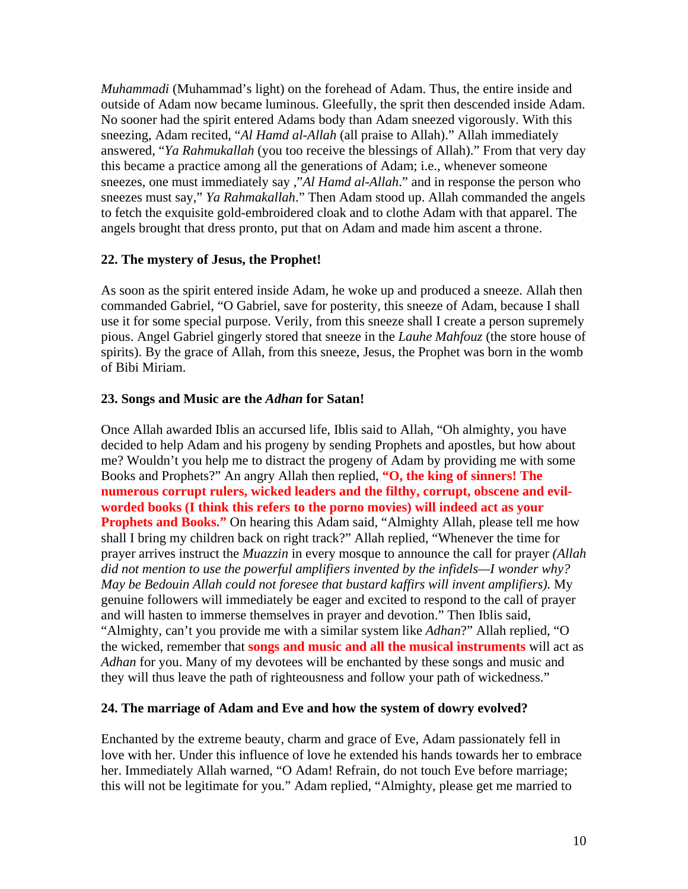*Muhammadi* (Muhammad's light) on the forehead of Adam. Thus, the entire inside and outside of Adam now became luminous. Gleefully, the sprit then descended inside Adam. No sooner had the spirit entered Adams body than Adam sneezed vigorously. With this sneezing, Adam recited, "*Al Hamd al-Allah* (all praise to Allah)." Allah immediately answered, "*Ya Rahmukallah* (you too receive the blessings of Allah)." From that very day this became a practice among all the generations of Adam; i.e., whenever someone sneezes, one must immediately say ,"*Al Hamd al-Allah*." and in response the person who sneezes must say," *Ya Rahmakallah*." Then Adam stood up. Allah commanded the angels to fetch the exquisite gold-embroidered cloak and to clothe Adam with that apparel. The angels brought that dress pronto, put that on Adam and made him ascent a throne.

#### **22. The mystery of Jesus, the Prophet!**

As soon as the spirit entered inside Adam, he woke up and produced a sneeze. Allah then commanded Gabriel, "O Gabriel, save for posterity, this sneeze of Adam, because I shall use it for some special purpose. Verily, from this sneeze shall I create a person supremely pious. Angel Gabriel gingerly stored that sneeze in the *Lauhe Mahfouz* (the store house of spirits). By the grace of Allah, from this sneeze, Jesus, the Prophet was born in the womb of Bibi Miriam.

#### **23. Songs and Music are the** *Adhan* **for Satan!**

Once Allah awarded Iblis an accursed life, Iblis said to Allah, "Oh almighty, you have decided to help Adam and his progeny by sending Prophets and apostles, but how about me? Wouldn't you help me to distract the progeny of Adam by providing me with some Books and Prophets?" An angry Allah then replied, **"O, the king of sinners! The numerous corrupt rulers, wicked leaders and the filthy, corrupt, obscene and evilworded books (I think this refers to the porno movies) will indeed act as your Prophets and Books."** On hearing this Adam said, "Almighty Allah, please tell me how shall I bring my children back on right track?" Allah replied, "Whenever the time for prayer arrives instruct the *Muazzin* in every mosque to announce the call for prayer *(Allah did not mention to use the powerful amplifiers invented by the infidels—I wonder why? May be Bedouin Allah could not foresee that bustard kaffirs will invent amplifiers).* My genuine followers will immediately be eager and excited to respond to the call of prayer and will hasten to immerse themselves in prayer and devotion." Then Iblis said, "Almighty, can't you provide me with a similar system like *Adhan*?" Allah replied, "O the wicked, remember that **songs and music and all the musical instruments** will act as *Adhan* for you. Many of my devotees will be enchanted by these songs and music and they will thus leave the path of righteousness and follow your path of wickedness."

#### **24. The marriage of Adam and Eve and how the system of dowry evolved?**

Enchanted by the extreme beauty, charm and grace of Eve, Adam passionately fell in love with her. Under this influence of love he extended his hands towards her to embrace her. Immediately Allah warned, "O Adam! Refrain, do not touch Eve before marriage; this will not be legitimate for you." Adam replied, "Almighty, please get me married to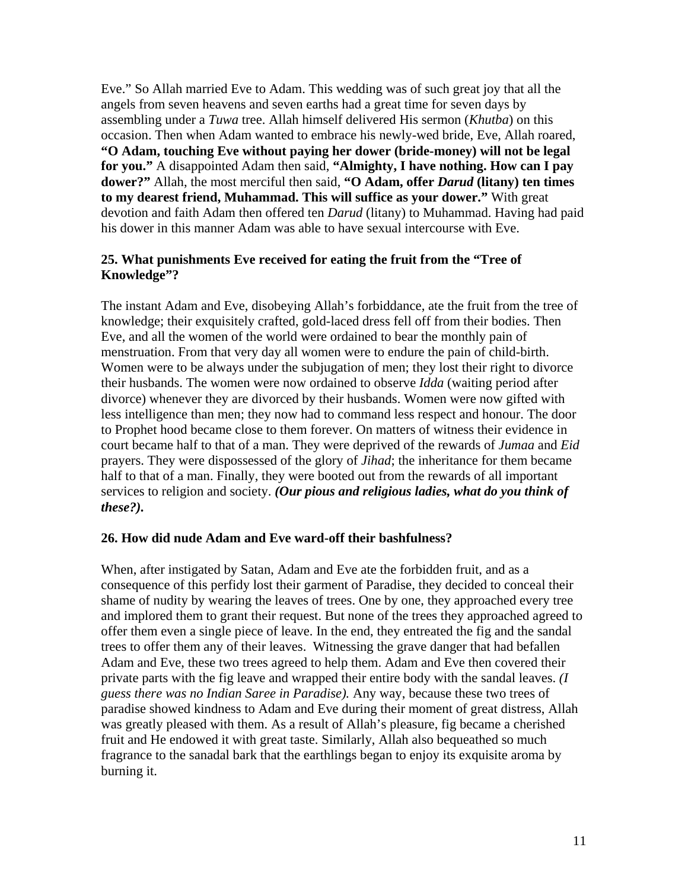Eve." So Allah married Eve to Adam. This wedding was of such great joy that all the angels from seven heavens and seven earths had a great time for seven days by assembling under a *Tuwa* tree. Allah himself delivered His sermon (*Khutba*) on this occasion. Then when Adam wanted to embrace his newly-wed bride, Eve, Allah roared, **"O Adam, touching Eve without paying her dower (bride-money) will not be legal for you."** A disappointed Adam then said, **"Almighty, I have nothing. How can I pay dower?"** Allah, the most merciful then said, **"O Adam, offer** *Darud* **(litany) ten times to my dearest friend, Muhammad. This will suffice as your dower."** With great devotion and faith Adam then offered ten *Darud* (litany) to Muhammad. Having had paid his dower in this manner Adam was able to have sexual intercourse with Eve.

#### **25. What punishments Eve received for eating the fruit from the "Tree of Knowledge"?**

The instant Adam and Eve, disobeying Allah's forbiddance, ate the fruit from the tree of knowledge; their exquisitely crafted, gold-laced dress fell off from their bodies. Then Eve, and all the women of the world were ordained to bear the monthly pain of menstruation. From that very day all women were to endure the pain of child-birth. Women were to be always under the subjugation of men; they lost their right to divorce their husbands. The women were now ordained to observe *Idda* (waiting period after divorce) whenever they are divorced by their husbands. Women were now gifted with less intelligence than men; they now had to command less respect and honour. The door to Prophet hood became close to them forever. On matters of witness their evidence in court became half to that of a man. They were deprived of the rewards of *Jumaa* and *Eid*  prayers. They were dispossessed of the glory of *Jihad*; the inheritance for them became half to that of a man. Finally, they were booted out from the rewards of all important services to religion and society. *(Our pious and religious ladies, what do you think of these?).*

#### **26. How did nude Adam and Eve ward-off their bashfulness?**

When, after instigated by Satan, Adam and Eve ate the forbidden fruit, and as a consequence of this perfidy lost their garment of Paradise, they decided to conceal their shame of nudity by wearing the leaves of trees. One by one, they approached every tree and implored them to grant their request. But none of the trees they approached agreed to offer them even a single piece of leave. In the end, they entreated the fig and the sandal trees to offer them any of their leaves. Witnessing the grave danger that had befallen Adam and Eve, these two trees agreed to help them. Adam and Eve then covered their private parts with the fig leave and wrapped their entire body with the sandal leaves. *(I guess there was no Indian Saree in Paradise).* Any way, because these two trees of paradise showed kindness to Adam and Eve during their moment of great distress, Allah was greatly pleased with them. As a result of Allah's pleasure, fig became a cherished fruit and He endowed it with great taste. Similarly, Allah also bequeathed so much fragrance to the sanadal bark that the earthlings began to enjoy its exquisite aroma by burning it.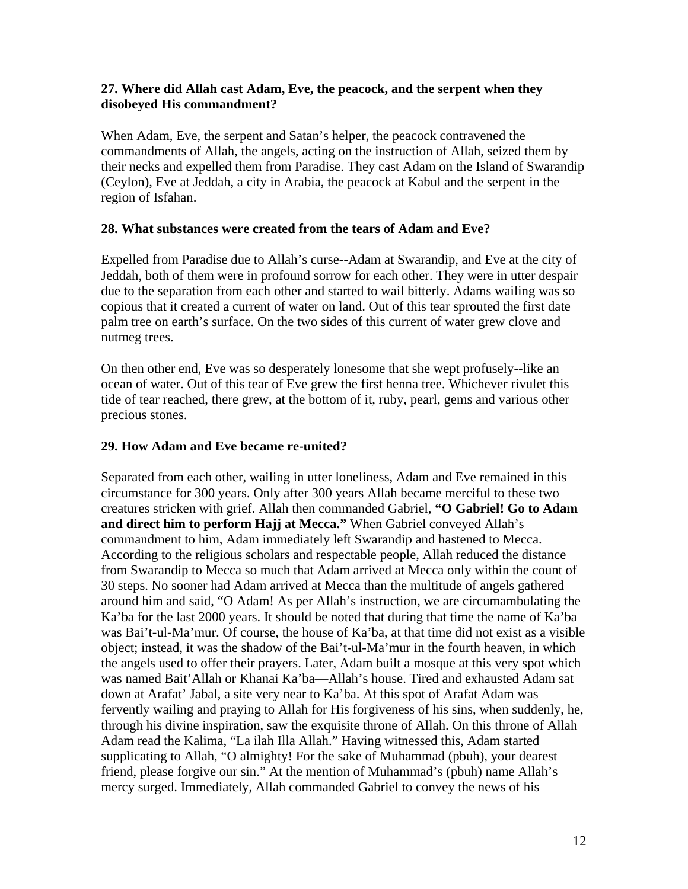#### **27. Where did Allah cast Adam, Eve, the peacock, and the serpent when they disobeyed His commandment?**

When Adam, Eve, the serpent and Satan's helper, the peacock contravened the commandments of Allah, the angels, acting on the instruction of Allah, seized them by their necks and expelled them from Paradise. They cast Adam on the Island of Swarandip (Ceylon), Eve at Jeddah, a city in Arabia, the peacock at Kabul and the serpent in the region of Isfahan.

#### **28. What substances were created from the tears of Adam and Eve?**

Expelled from Paradise due to Allah's curse--Adam at Swarandip, and Eve at the city of Jeddah, both of them were in profound sorrow for each other. They were in utter despair due to the separation from each other and started to wail bitterly. Adams wailing was so copious that it created a current of water on land. Out of this tear sprouted the first date palm tree on earth's surface. On the two sides of this current of water grew clove and nutmeg trees.

On then other end, Eve was so desperately lonesome that she wept profusely--like an ocean of water. Out of this tear of Eve grew the first henna tree. Whichever rivulet this tide of tear reached, there grew, at the bottom of it, ruby, pearl, gems and various other precious stones.

#### **29. How Adam and Eve became re-united?**

Separated from each other, wailing in utter loneliness, Adam and Eve remained in this circumstance for 300 years. Only after 300 years Allah became merciful to these two creatures stricken with grief. Allah then commanded Gabriel, **"O Gabriel! Go to Adam and direct him to perform Hajj at Mecca."** When Gabriel conveyed Allah's commandment to him, Adam immediately left Swarandip and hastened to Mecca. According to the religious scholars and respectable people, Allah reduced the distance from Swarandip to Mecca so much that Adam arrived at Mecca only within the count of 30 steps. No sooner had Adam arrived at Mecca than the multitude of angels gathered around him and said, "O Adam! As per Allah's instruction, we are circumambulating the Ka'ba for the last 2000 years. It should be noted that during that time the name of Ka'ba was Bai't-ul-Ma'mur. Of course, the house of Ka'ba, at that time did not exist as a visible object; instead, it was the shadow of the Bai't-ul-Ma'mur in the fourth heaven, in which the angels used to offer their prayers. Later, Adam built a mosque at this very spot which was named Bait'Allah or Khanai Ka'ba—Allah's house. Tired and exhausted Adam sat down at Arafat' Jabal, a site very near to Ka'ba. At this spot of Arafat Adam was fervently wailing and praying to Allah for His forgiveness of his sins, when suddenly, he, through his divine inspiration, saw the exquisite throne of Allah. On this throne of Allah Adam read the Kalima, "La ilah Illa Allah." Having witnessed this, Adam started supplicating to Allah, "O almighty! For the sake of Muhammad (pbuh), your dearest friend, please forgive our sin." At the mention of Muhammad's (pbuh) name Allah's mercy surged. Immediately, Allah commanded Gabriel to convey the news of his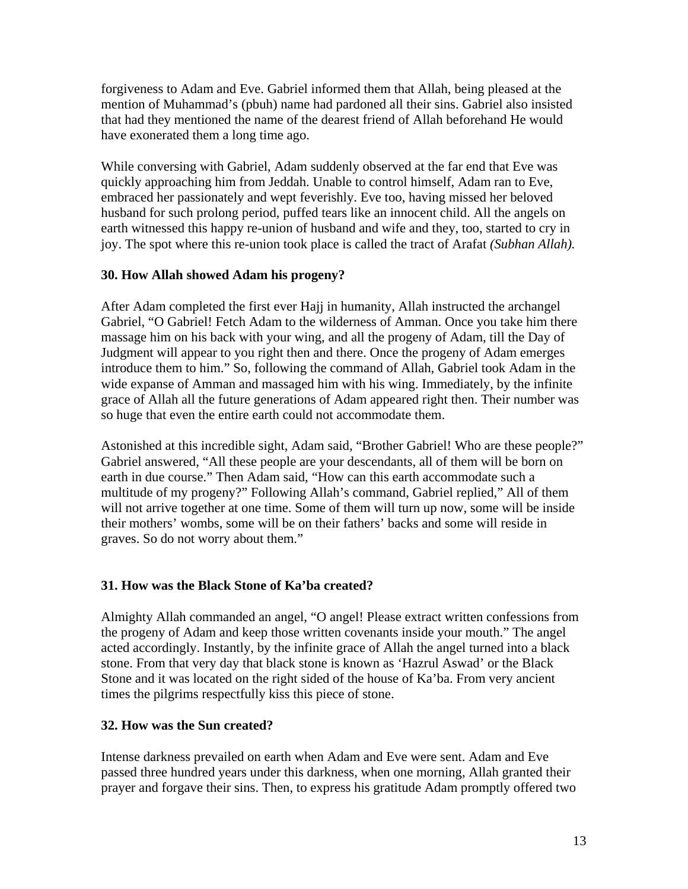forgiveness to Adam and Eve. Gabriel informed them that Allah, being pleased at the mention of Muhammad's (pbuh) name had pardoned all their sins. Gabriel also insisted that had they mentioned the name of the dearest friend of Allah beforehand He would have exonerated them a long time ago.

While conversing with Gabriel, Adam suddenly observed at the far end that Eve was quickly approaching him from Jeddah. Unable to control himself, Adam ran to Eve, embraced her passionately and wept feverishly. Eve too, having missed her beloved husband for such prolong period, puffed tears like an innocent child. All the angels on earth witnessed this happy re-union of husband and wife and they, too, started to cry in joy. The spot where this re-union took place is called the tract of Arafat *(Subhan Allah).*

#### **30. How Allah showed Adam his progeny?**

After Adam completed the first ever Hajj in humanity, Allah instructed the archangel Gabriel, "O Gabriel! Fetch Adam to the wilderness of Amman. Once you take him there massage him on his back with your wing, and all the progeny of Adam, till the Day of Judgment will appear to you right then and there. Once the progeny of Adam emerges introduce them to him." So, following the command of Allah, Gabriel took Adam in the wide expanse of Amman and massaged him with his wing. Immediately, by the infinite grace of Allah all the future generations of Adam appeared right then. Their number was so huge that even the entire earth could not accommodate them.

Astonished at this incredible sight, Adam said, "Brother Gabriel! Who are these people?" Gabriel answered, "All these people are your descendants, all of them will be born on earth in due course." Then Adam said, "How can this earth accommodate such a multitude of my progeny?" Following Allah's command, Gabriel replied," All of them will not arrive together at one time. Some of them will turn up now, some will be inside their mothers' wombs, some will be on their fathers' backs and some will reside in graves. So do not worry about them."

#### **31. How was the Black Stone of Ka'ba created?**

Almighty Allah commanded an angel, "O angel! Please extract written confessions from the progeny of Adam and keep those written covenants inside your mouth." The angel acted accordingly. Instantly, by the infinite grace of Allah the angel turned into a black stone. From that very day that black stone is known as 'Hazrul Aswad' or the Black Stone and it was located on the right sided of the house of Ka'ba. From very ancient times the pilgrims respectfully kiss this piece of stone.

## **32. How was the Sun created?**

Intense darkness prevailed on earth when Adam and Eve were sent. Adam and Eve passed three hundred years under this darkness, when one morning, Allah granted their prayer and forgave their sins. Then, to express his gratitude Adam promptly offered two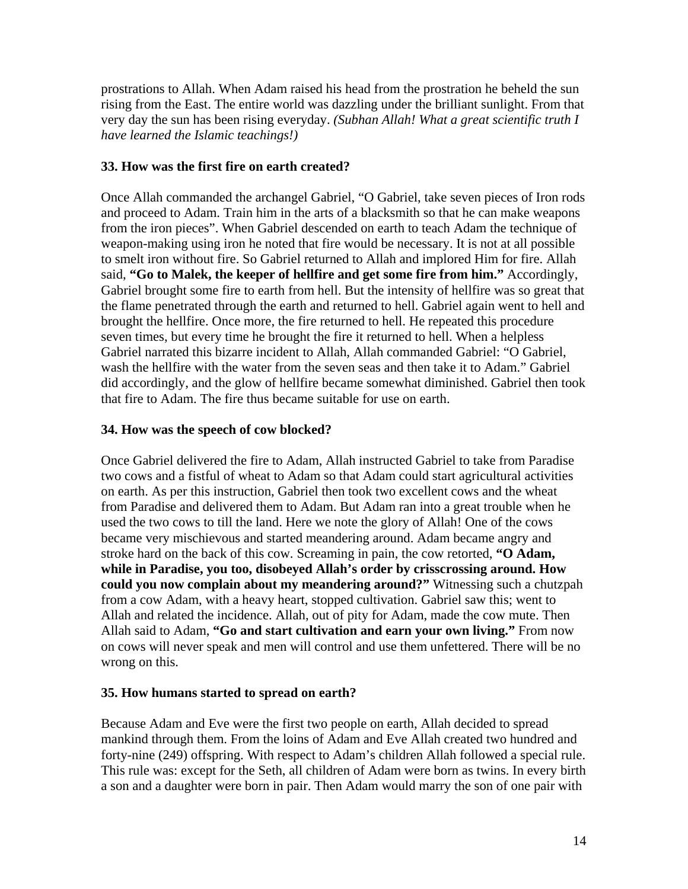prostrations to Allah. When Adam raised his head from the prostration he beheld the sun rising from the East. The entire world was dazzling under the brilliant sunlight. From that very day the sun has been rising everyday. *(Subhan Allah! What a great scientific truth I have learned the Islamic teachings!)* 

#### **33. How was the first fire on earth created?**

Once Allah commanded the archangel Gabriel, "O Gabriel, take seven pieces of Iron rods and proceed to Adam. Train him in the arts of a blacksmith so that he can make weapons from the iron pieces". When Gabriel descended on earth to teach Adam the technique of weapon-making using iron he noted that fire would be necessary. It is not at all possible to smelt iron without fire. So Gabriel returned to Allah and implored Him for fire. Allah said, **"Go to Malek, the keeper of hellfire and get some fire from him."** Accordingly, Gabriel brought some fire to earth from hell. But the intensity of hellfire was so great that the flame penetrated through the earth and returned to hell. Gabriel again went to hell and brought the hellfire. Once more, the fire returned to hell. He repeated this procedure seven times, but every time he brought the fire it returned to hell. When a helpless Gabriel narrated this bizarre incident to Allah, Allah commanded Gabriel: "O Gabriel, wash the hellfire with the water from the seven seas and then take it to Adam." Gabriel did accordingly, and the glow of hellfire became somewhat diminished. Gabriel then took that fire to Adam. The fire thus became suitable for use on earth.

#### **34. How was the speech of cow blocked?**

Once Gabriel delivered the fire to Adam, Allah instructed Gabriel to take from Paradise two cows and a fistful of wheat to Adam so that Adam could start agricultural activities on earth. As per this instruction, Gabriel then took two excellent cows and the wheat from Paradise and delivered them to Adam. But Adam ran into a great trouble when he used the two cows to till the land. Here we note the glory of Allah! One of the cows became very mischievous and started meandering around. Adam became angry and stroke hard on the back of this cow. Screaming in pain, the cow retorted, **"O Adam, while in Paradise, you too, disobeyed Allah's order by crisscrossing around. How could you now complain about my meandering around?"** Witnessing such a chutzpah from a cow Adam, with a heavy heart, stopped cultivation. Gabriel saw this; went to Allah and related the incidence. Allah, out of pity for Adam, made the cow mute. Then Allah said to Adam, **"Go and start cultivation and earn your own living."** From now on cows will never speak and men will control and use them unfettered. There will be no wrong on this.

#### **35. How humans started to spread on earth?**

Because Adam and Eve were the first two people on earth, Allah decided to spread mankind through them. From the loins of Adam and Eve Allah created two hundred and forty-nine (249) offspring. With respect to Adam's children Allah followed a special rule. This rule was: except for the Seth, all children of Adam were born as twins. In every birth a son and a daughter were born in pair. Then Adam would marry the son of one pair with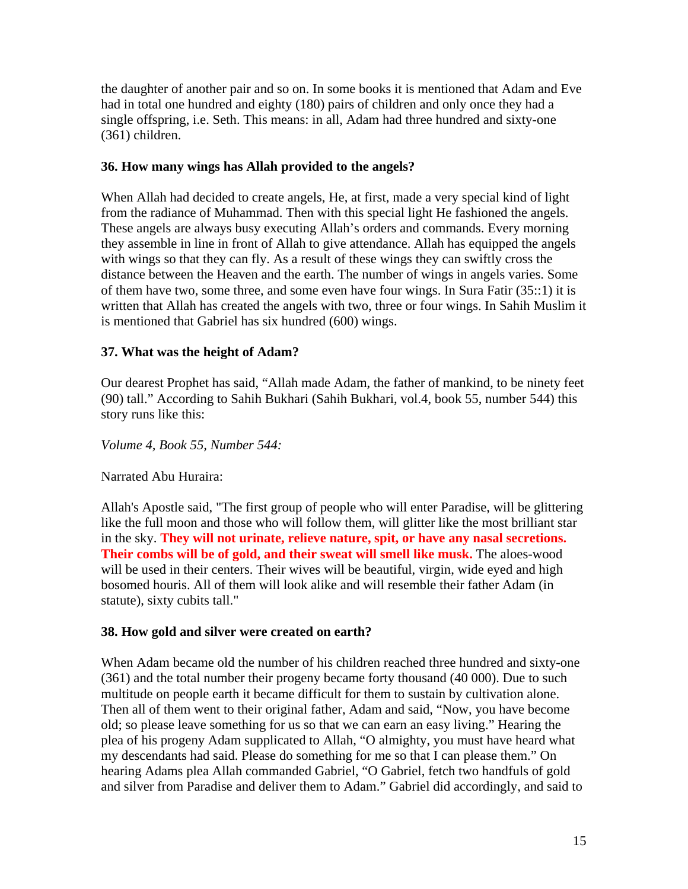the daughter of another pair and so on. In some books it is mentioned that Adam and Eve had in total one hundred and eighty (180) pairs of children and only once they had a single offspring, i.e. Seth. This means: in all, Adam had three hundred and sixty-one (361) children.

#### **36. How many wings has Allah provided to the angels?**

When Allah had decided to create angels, He, at first, made a very special kind of light from the radiance of Muhammad. Then with this special light He fashioned the angels. These angels are always busy executing Allah's orders and commands. Every morning they assemble in line in front of Allah to give attendance. Allah has equipped the angels with wings so that they can fly. As a result of these wings they can swiftly cross the distance between the Heaven and the earth. The number of wings in angels varies. Some of them have two, some three, and some even have four wings. In Sura Fatir (35::1) it is written that Allah has created the angels with two, three or four wings. In Sahih Muslim it is mentioned that Gabriel has six hundred (600) wings.

#### **37. What was the height of Adam?**

Our dearest Prophet has said, "Allah made Adam, the father of mankind, to be ninety feet (90) tall." According to Sahih Bukhari (Sahih Bukhari, vol.4, book 55, number 544) this story runs like this:

*Volume 4, Book 55, Number 544:* 

#### Narrated Abu Huraira:

Allah's Apostle said, "The first group of people who will enter Paradise, will be glittering like the full moon and those who will follow them, will glitter like the most brilliant star in the sky. **They will not urinate, relieve nature, spit, or have any nasal secretions. Their combs will be of gold, and their sweat will smell like musk.** The aloes-wood will be used in their centers. Their wives will be beautiful, virgin, wide eyed and high bosomed houris. All of them will look alike and will resemble their father Adam (in statute), sixty cubits tall."

#### **38. How gold and silver were created on earth?**

When Adam became old the number of his children reached three hundred and sixty-one (361) and the total number their progeny became forty thousand (40 000). Due to such multitude on people earth it became difficult for them to sustain by cultivation alone. Then all of them went to their original father, Adam and said, "Now, you have become old; so please leave something for us so that we can earn an easy living." Hearing the plea of his progeny Adam supplicated to Allah, "O almighty, you must have heard what my descendants had said. Please do something for me so that I can please them." On hearing Adams plea Allah commanded Gabriel, "O Gabriel, fetch two handfuls of gold and silver from Paradise and deliver them to Adam." Gabriel did accordingly, and said to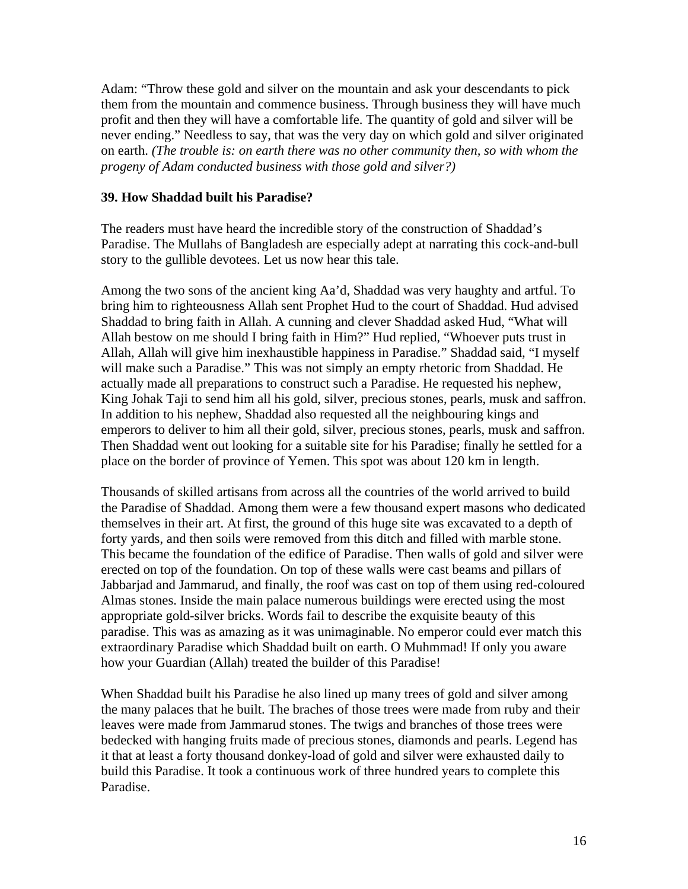Adam: "Throw these gold and silver on the mountain and ask your descendants to pick them from the mountain and commence business. Through business they will have much profit and then they will have a comfortable life. The quantity of gold and silver will be never ending." Needless to say, that was the very day on which gold and silver originated on earth. *(The trouble is: on earth there was no other community then, so with whom the progeny of Adam conducted business with those gold and silver?)* 

#### **39. How Shaddad built his Paradise?**

The readers must have heard the incredible story of the construction of Shaddad's Paradise. The Mullahs of Bangladesh are especially adept at narrating this cock-and-bull story to the gullible devotees. Let us now hear this tale.

Among the two sons of the ancient king Aa'd, Shaddad was very haughty and artful. To bring him to righteousness Allah sent Prophet Hud to the court of Shaddad. Hud advised Shaddad to bring faith in Allah. A cunning and clever Shaddad asked Hud, "What will Allah bestow on me should I bring faith in Him?" Hud replied, "Whoever puts trust in Allah, Allah will give him inexhaustible happiness in Paradise." Shaddad said, "I myself will make such a Paradise." This was not simply an empty rhetoric from Shaddad. He actually made all preparations to construct such a Paradise. He requested his nephew, King Johak Taji to send him all his gold, silver, precious stones, pearls, musk and saffron. In addition to his nephew, Shaddad also requested all the neighbouring kings and emperors to deliver to him all their gold, silver, precious stones, pearls, musk and saffron. Then Shaddad went out looking for a suitable site for his Paradise; finally he settled for a place on the border of province of Yemen. This spot was about 120 km in length.

Thousands of skilled artisans from across all the countries of the world arrived to build the Paradise of Shaddad. Among them were a few thousand expert masons who dedicated themselves in their art. At first, the ground of this huge site was excavated to a depth of forty yards, and then soils were removed from this ditch and filled with marble stone. This became the foundation of the edifice of Paradise. Then walls of gold and silver were erected on top of the foundation. On top of these walls were cast beams and pillars of Jabbarjad and Jammarud, and finally, the roof was cast on top of them using red-coloured Almas stones. Inside the main palace numerous buildings were erected using the most appropriate gold-silver bricks. Words fail to describe the exquisite beauty of this paradise. This was as amazing as it was unimaginable. No emperor could ever match this extraordinary Paradise which Shaddad built on earth. O Muhmmad! If only you aware how your Guardian (Allah) treated the builder of this Paradise!

When Shaddad built his Paradise he also lined up many trees of gold and silver among the many palaces that he built. The braches of those trees were made from ruby and their leaves were made from Jammarud stones. The twigs and branches of those trees were bedecked with hanging fruits made of precious stones, diamonds and pearls. Legend has it that at least a forty thousand donkey-load of gold and silver were exhausted daily to build this Paradise. It took a continuous work of three hundred years to complete this Paradise.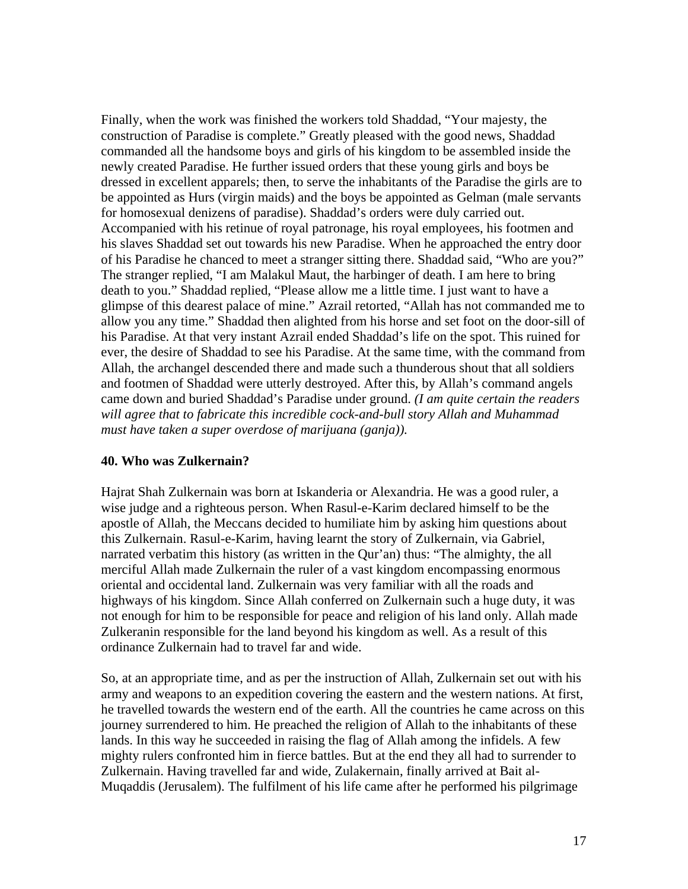Finally, when the work was finished the workers told Shaddad, "Your majesty, the construction of Paradise is complete." Greatly pleased with the good news, Shaddad commanded all the handsome boys and girls of his kingdom to be assembled inside the newly created Paradise. He further issued orders that these young girls and boys be dressed in excellent apparels; then, to serve the inhabitants of the Paradise the girls are to be appointed as Hurs (virgin maids) and the boys be appointed as Gelman (male servants for homosexual denizens of paradise). Shaddad's orders were duly carried out. Accompanied with his retinue of royal patronage, his royal employees, his footmen and his slaves Shaddad set out towards his new Paradise. When he approached the entry door of his Paradise he chanced to meet a stranger sitting there. Shaddad said, "Who are you?" The stranger replied, "I am Malakul Maut, the harbinger of death. I am here to bring death to you." Shaddad replied, "Please allow me a little time. I just want to have a glimpse of this dearest palace of mine." Azrail retorted, "Allah has not commanded me to allow you any time." Shaddad then alighted from his horse and set foot on the door-sill of his Paradise. At that very instant Azrail ended Shaddad's life on the spot. This ruined for ever, the desire of Shaddad to see his Paradise. At the same time, with the command from Allah, the archangel descended there and made such a thunderous shout that all soldiers and footmen of Shaddad were utterly destroyed. After this, by Allah's command angels came down and buried Shaddad's Paradise under ground. *(I am quite certain the readers will agree that to fabricate this incredible cock-and-bull story Allah and Muhammad must have taken a super overdose of marijuana (ganja)).* 

#### **40. Who was Zulkernain?**

Hajrat Shah Zulkernain was born at Iskanderia or Alexandria. He was a good ruler, a wise judge and a righteous person. When Rasul-e-Karim declared himself to be the apostle of Allah, the Meccans decided to humiliate him by asking him questions about this Zulkernain. Rasul-e-Karim, having learnt the story of Zulkernain, via Gabriel, narrated verbatim this history (as written in the Qur'an) thus: "The almighty, the all merciful Allah made Zulkernain the ruler of a vast kingdom encompassing enormous oriental and occidental land. Zulkernain was very familiar with all the roads and highways of his kingdom. Since Allah conferred on Zulkernain such a huge duty, it was not enough for him to be responsible for peace and religion of his land only. Allah made Zulkeranin responsible for the land beyond his kingdom as well. As a result of this ordinance Zulkernain had to travel far and wide.

So, at an appropriate time, and as per the instruction of Allah, Zulkernain set out with his army and weapons to an expedition covering the eastern and the western nations. At first, he travelled towards the western end of the earth. All the countries he came across on this journey surrendered to him. He preached the religion of Allah to the inhabitants of these lands. In this way he succeeded in raising the flag of Allah among the infidels. A few mighty rulers confronted him in fierce battles. But at the end they all had to surrender to Zulkernain. Having travelled far and wide, Zulakernain, finally arrived at Bait al-Muqaddis (Jerusalem). The fulfilment of his life came after he performed his pilgrimage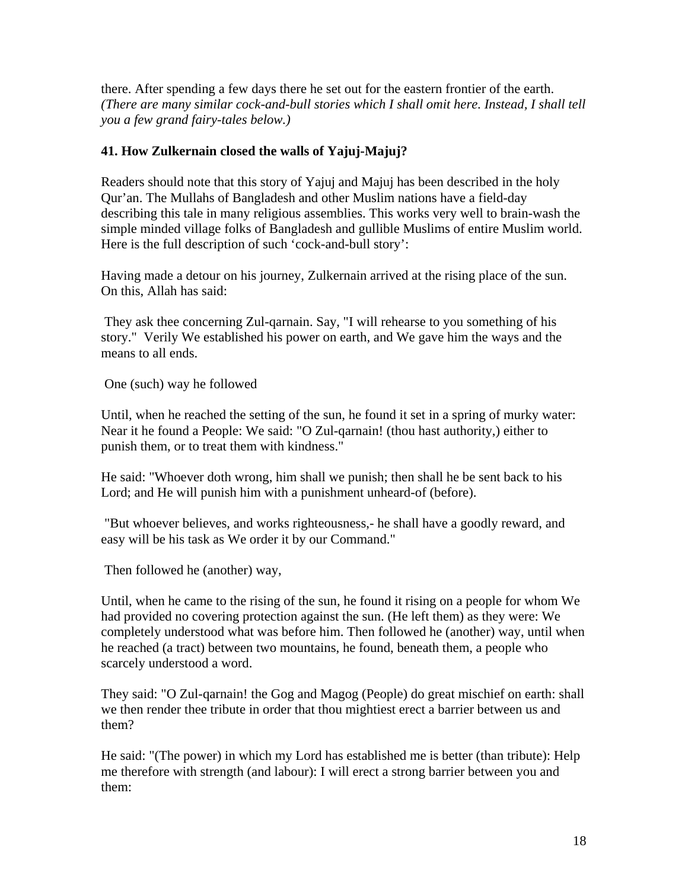there. After spending a few days there he set out for the eastern frontier of the earth. *(There are many similar cock-and-bull stories which I shall omit here. Instead, I shall tell you a few grand fairy-tales below.)* 

#### **41. How Zulkernain closed the walls of Yajuj-Majuj?**

Readers should note that this story of Yajuj and Majuj has been described in the holy Qur'an. The Mullahs of Bangladesh and other Muslim nations have a field-day describing this tale in many religious assemblies. This works very well to brain-wash the simple minded village folks of Bangladesh and gullible Muslims of entire Muslim world. Here is the full description of such 'cock-and-bull story':

Having made a detour on his journey, Zulkernain arrived at the rising place of the sun. On this, Allah has said:

 They ask thee concerning Zul-qarnain. Say, "I will rehearse to you something of his story." Verily We established his power on earth, and We gave him the ways and the means to all ends.

One (such) way he followed

Until, when he reached the setting of the sun, he found it set in a spring of murky water: Near it he found a People: We said: "O Zul-qarnain! (thou hast authority,) either to punish them, or to treat them with kindness."

He said: "Whoever doth wrong, him shall we punish; then shall he be sent back to his Lord; and He will punish him with a punishment unheard-of (before).

 "But whoever believes, and works righteousness,- he shall have a goodly reward, and easy will be his task as We order it by our Command."

Then followed he (another) way,

Until, when he came to the rising of the sun, he found it rising on a people for whom We had provided no covering protection against the sun. (He left them) as they were: We completely understood what was before him. Then followed he (another) way, until when he reached (a tract) between two mountains, he found, beneath them, a people who scarcely understood a word.

They said: "O Zul-qarnain! the Gog and Magog (People) do great mischief on earth: shall we then render thee tribute in order that thou mightiest erect a barrier between us and them?

He said: "(The power) in which my Lord has established me is better (than tribute): Help me therefore with strength (and labour): I will erect a strong barrier between you and them: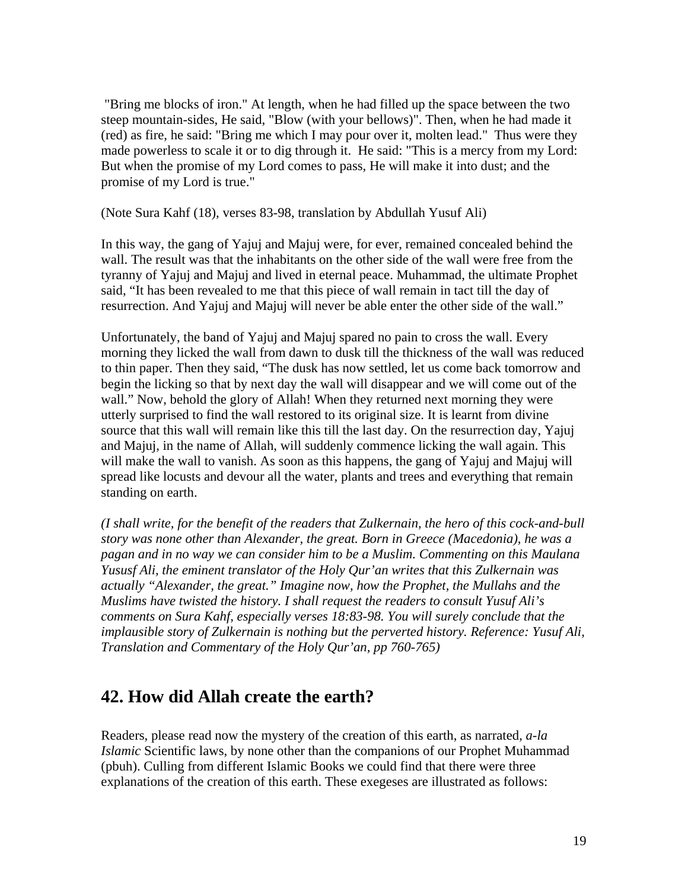"Bring me blocks of iron." At length, when he had filled up the space between the two steep mountain-sides, He said, "Blow (with your bellows)". Then, when he had made it (red) as fire, he said: "Bring me which I may pour over it, molten lead." Thus were they made powerless to scale it or to dig through it. He said: "This is a mercy from my Lord: But when the promise of my Lord comes to pass, He will make it into dust; and the promise of my Lord is true."

(Note Sura Kahf (18), verses 83-98, translation by Abdullah Yusuf Ali)

In this way, the gang of Yajuj and Majuj were, for ever, remained concealed behind the wall. The result was that the inhabitants on the other side of the wall were free from the tyranny of Yajuj and Majuj and lived in eternal peace. Muhammad, the ultimate Prophet said, "It has been revealed to me that this piece of wall remain in tact till the day of resurrection. And Yajuj and Majuj will never be able enter the other side of the wall."

Unfortunately, the band of Yajuj and Majuj spared no pain to cross the wall. Every morning they licked the wall from dawn to dusk till the thickness of the wall was reduced to thin paper. Then they said, "The dusk has now settled, let us come back tomorrow and begin the licking so that by next day the wall will disappear and we will come out of the wall." Now, behold the glory of Allah! When they returned next morning they were utterly surprised to find the wall restored to its original size. It is learnt from divine source that this wall will remain like this till the last day. On the resurrection day, Yajuj and Majuj, in the name of Allah, will suddenly commence licking the wall again. This will make the wall to vanish. As soon as this happens, the gang of Yajuj and Majuj will spread like locusts and devour all the water, plants and trees and everything that remain standing on earth.

*(I shall write, for the benefit of the readers that Zulkernain, the hero of this cock-and-bull story was none other than Alexander, the great. Born in Greece (Macedonia), he was a pagan and in no way we can consider him to be a Muslim. Commenting on this Maulana Yususf Ali, the eminent translator of the Holy Qur'an writes that this Zulkernain was actually "Alexander, the great." Imagine now, how the Prophet, the Mullahs and the Muslims have twisted the history. I shall request the readers to consult Yusuf Ali's comments on Sura Kahf, especially verses 18:83-98. You will surely conclude that the implausible story of Zulkernain is nothing but the perverted history. Reference: Yusuf Ali, Translation and Commentary of the Holy Qur'an, pp 760-765)* 

## **42. How did Allah create the earth?**

Readers, please read now the mystery of the creation of this earth, as narrated, *a-la Islamic* Scientific laws, by none other than the companions of our Prophet Muhammad (pbuh). Culling from different Islamic Books we could find that there were three explanations of the creation of this earth. These exegeses are illustrated as follows: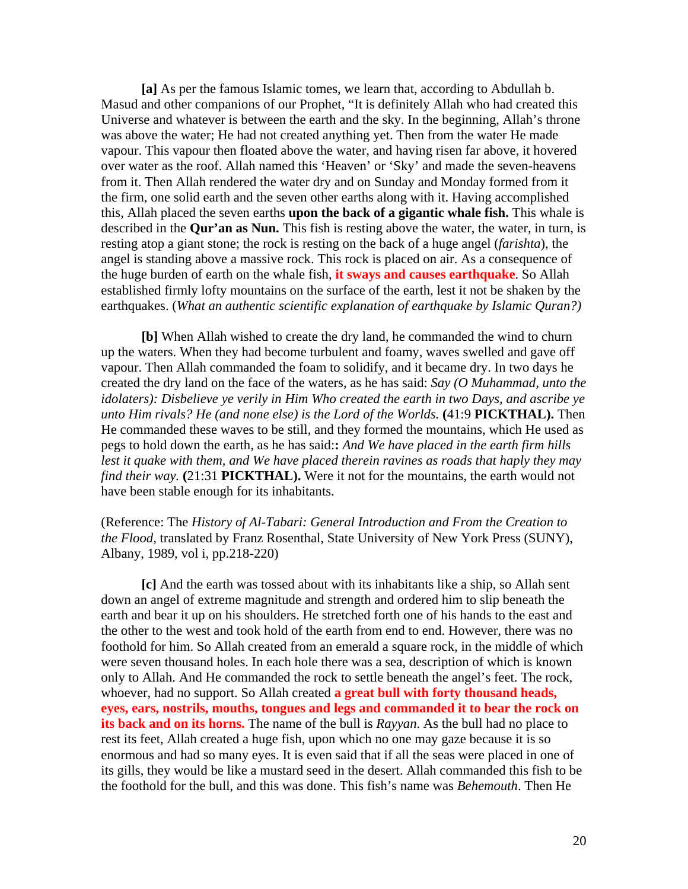**[a]** As per the famous Islamic tomes, we learn that, according to Abdullah b. Masud and other companions of our Prophet, "It is definitely Allah who had created this Universe and whatever is between the earth and the sky. In the beginning, Allah's throne was above the water; He had not created anything yet. Then from the water He made vapour. This vapour then floated above the water, and having risen far above, it hovered over water as the roof. Allah named this 'Heaven' or 'Sky' and made the seven-heavens from it. Then Allah rendered the water dry and on Sunday and Monday formed from it the firm, one solid earth and the seven other earths along with it. Having accomplished this, Allah placed the seven earths **upon the back of a gigantic whale fish.** This whale is described in the **Qur'an as Nun.** This fish is resting above the water, the water, in turn, is resting atop a giant stone; the rock is resting on the back of a huge angel (*farishta*), the angel is standing above a massive rock. This rock is placed on air. As a consequence of the huge burden of earth on the whale fish, **it sways and causes earthquake**. So Allah established firmly lofty mountains on the surface of the earth, lest it not be shaken by the earthquakes. (*What an authentic scientific explanation of earthquake by Islamic Quran?)* 

**[b]** When Allah wished to create the dry land, he commanded the wind to churn up the waters. When they had become turbulent and foamy, waves swelled and gave off vapour. Then Allah commanded the foam to solidify, and it became dry. In two days he created the dry land on the face of the waters, as he has said: *Say (O Muhammad, unto the idolaters): Disbelieve ye verily in Him Who created the earth in two Days, and ascribe ye unto Him rivals? He (and none else) is the Lord of the Worlds.* **(**41:9 **PICKTHAL).** Then He commanded these waves to be still, and they formed the mountains, which He used as pegs to hold down the earth, as he has said:**:** *And We have placed in the earth firm hills lest it quake with them, and We have placed therein ravines as roads that haply they may find their way.* **(**21:31 **PICKTHAL).** Were it not for the mountains, the earth would not have been stable enough for its inhabitants.

(Reference: The *History of Al-Tabari: General Introduction and From the Creation to the Flood*, translated by Franz Rosenthal, State University of New York Press (SUNY), Albany, 1989, vol i, pp.218-220)

**[c]** And the earth was tossed about with its inhabitants like a ship, so Allah sent down an angel of extreme magnitude and strength and ordered him to slip beneath the earth and bear it up on his shoulders. He stretched forth one of his hands to the east and the other to the west and took hold of the earth from end to end. However, there was no foothold for him. So Allah created from an emerald a square rock, in the middle of which were seven thousand holes. In each hole there was a sea, description of which is known only to Allah. And He commanded the rock to settle beneath the angel's feet. The rock, whoever, had no support. So Allah created **a great bull with forty thousand heads, eyes, ears, nostrils, mouths, tongues and legs and commanded it to bear the rock on its back and on its horns.** The name of the bull is *Rayyan*. As the bull had no place to rest its feet, Allah created a huge fish, upon which no one may gaze because it is so enormous and had so many eyes. It is even said that if all the seas were placed in one of its gills, they would be like a mustard seed in the desert. Allah commanded this fish to be the foothold for the bull, and this was done. This fish's name was *Behemouth*. Then He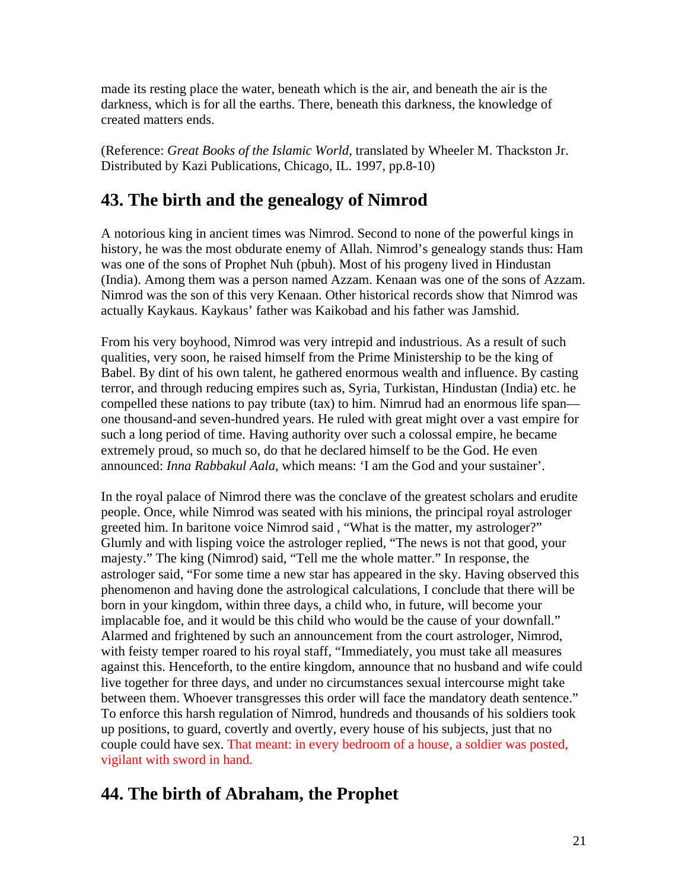made its resting place the water, beneath which is the air, and beneath the air is the darkness, which is for all the earths. There, beneath this darkness, the knowledge of created matters ends.

(Reference: *Great Books of the Islamic World*, translated by Wheeler M. Thackston Jr. Distributed by Kazi Publications, Chicago, IL. 1997, pp.8-10)

## **43. The birth and the genealogy of Nimrod**

A notorious king in ancient times was Nimrod. Second to none of the powerful kings in history, he was the most obdurate enemy of Allah. Nimrod's genealogy stands thus: Ham was one of the sons of Prophet Nuh (pbuh). Most of his progeny lived in Hindustan (India). Among them was a person named Azzam. Kenaan was one of the sons of Azzam. Nimrod was the son of this very Kenaan. Other historical records show that Nimrod was actually Kaykaus. Kaykaus' father was Kaikobad and his father was Jamshid.

From his very boyhood, Nimrod was very intrepid and industrious. As a result of such qualities, very soon, he raised himself from the Prime Ministership to be the king of Babel. By dint of his own talent, he gathered enormous wealth and influence. By casting terror, and through reducing empires such as, Syria, Turkistan, Hindustan (India) etc. he compelled these nations to pay tribute (tax) to him. Nimrud had an enormous life span one thousand-and seven-hundred years. He ruled with great might over a vast empire for such a long period of time. Having authority over such a colossal empire, he became extremely proud, so much so, do that he declared himself to be the God. He even announced: *Inna Rabbakul Aala*, which means: 'I am the God and your sustainer'.

In the royal palace of Nimrod there was the conclave of the greatest scholars and erudite people. Once, while Nimrod was seated with his minions, the principal royal astrologer greeted him. In baritone voice Nimrod said , "What is the matter, my astrologer?" Glumly and with lisping voice the astrologer replied, "The news is not that good, your majesty." The king (Nimrod) said, "Tell me the whole matter." In response, the astrologer said, "For some time a new star has appeared in the sky. Having observed this phenomenon and having done the astrological calculations, I conclude that there will be born in your kingdom, within three days, a child who, in future, will become your implacable foe, and it would be this child who would be the cause of your downfall." Alarmed and frightened by such an announcement from the court astrologer, Nimrod, with feisty temper roared to his royal staff, "Immediately, you must take all measures against this. Henceforth, to the entire kingdom, announce that no husband and wife could live together for three days, and under no circumstances sexual intercourse might take between them. Whoever transgresses this order will face the mandatory death sentence." To enforce this harsh regulation of Nimrod, hundreds and thousands of his soldiers took up positions, to guard, covertly and overtly, every house of his subjects, just that no couple could have sex. That meant: in every bedroom of a house, a soldier was posted, vigilant with sword in hand.

## **44. The birth of Abraham, the Prophet**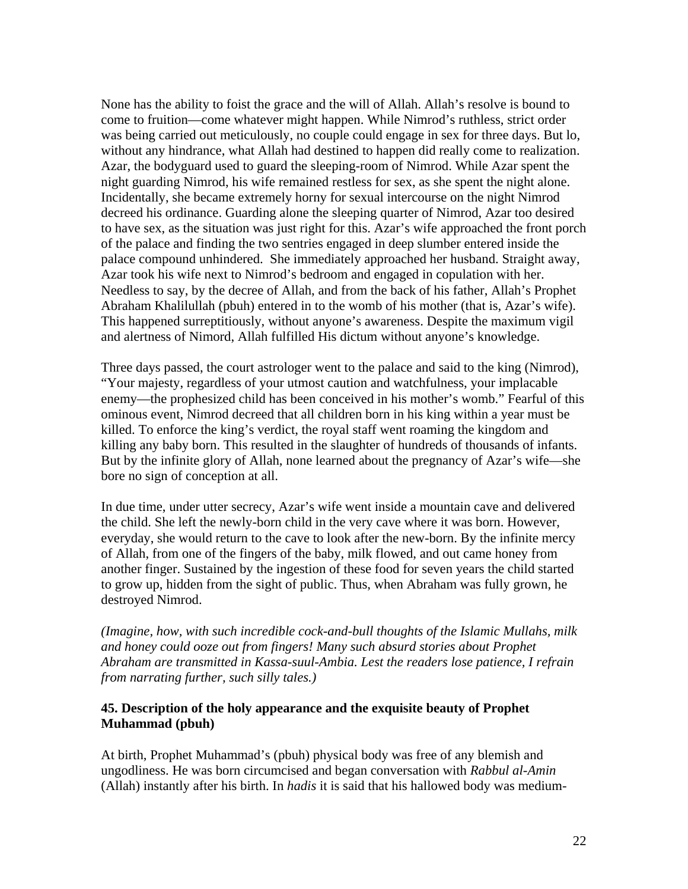None has the ability to foist the grace and the will of Allah. Allah's resolve is bound to come to fruition—come whatever might happen. While Nimrod's ruthless, strict order was being carried out meticulously, no couple could engage in sex for three days. But lo, without any hindrance, what Allah had destined to happen did really come to realization. Azar, the bodyguard used to guard the sleeping-room of Nimrod. While Azar spent the night guarding Nimrod, his wife remained restless for sex, as she spent the night alone. Incidentally, she became extremely horny for sexual intercourse on the night Nimrod decreed his ordinance. Guarding alone the sleeping quarter of Nimrod, Azar too desired to have sex, as the situation was just right for this. Azar's wife approached the front porch of the palace and finding the two sentries engaged in deep slumber entered inside the palace compound unhindered. She immediately approached her husband. Straight away, Azar took his wife next to Nimrod's bedroom and engaged in copulation with her. Needless to say, by the decree of Allah, and from the back of his father, Allah's Prophet Abraham Khalilullah (pbuh) entered in to the womb of his mother (that is, Azar's wife). This happened surreptitiously, without anyone's awareness. Despite the maximum vigil and alertness of Nimord, Allah fulfilled His dictum without anyone's knowledge.

Three days passed, the court astrologer went to the palace and said to the king (Nimrod), "Your majesty, regardless of your utmost caution and watchfulness, your implacable enemy—the prophesized child has been conceived in his mother's womb." Fearful of this ominous event, Nimrod decreed that all children born in his king within a year must be killed. To enforce the king's verdict, the royal staff went roaming the kingdom and killing any baby born. This resulted in the slaughter of hundreds of thousands of infants. But by the infinite glory of Allah, none learned about the pregnancy of Azar's wife—she bore no sign of conception at all.

In due time, under utter secrecy, Azar's wife went inside a mountain cave and delivered the child. She left the newly-born child in the very cave where it was born. However, everyday, she would return to the cave to look after the new-born. By the infinite mercy of Allah, from one of the fingers of the baby, milk flowed, and out came honey from another finger. Sustained by the ingestion of these food for seven years the child started to grow up, hidden from the sight of public. Thus, when Abraham was fully grown, he destroyed Nimrod.

*(Imagine, how, with such incredible cock-and-bull thoughts of the Islamic Mullahs, milk and honey could ooze out from fingers! Many such absurd stories about Prophet Abraham are transmitted in Kassa-suul-Ambia. Lest the readers lose patience, I refrain from narrating further, such silly tales.)* 

#### **45. Description of the holy appearance and the exquisite beauty of Prophet Muhammad (pbuh)**

At birth, Prophet Muhammad's (pbuh) physical body was free of any blemish and ungodliness. He was born circumcised and began conversation with *Rabbul al-Amin* (Allah) instantly after his birth. In *hadis* it is said that his hallowed body was medium-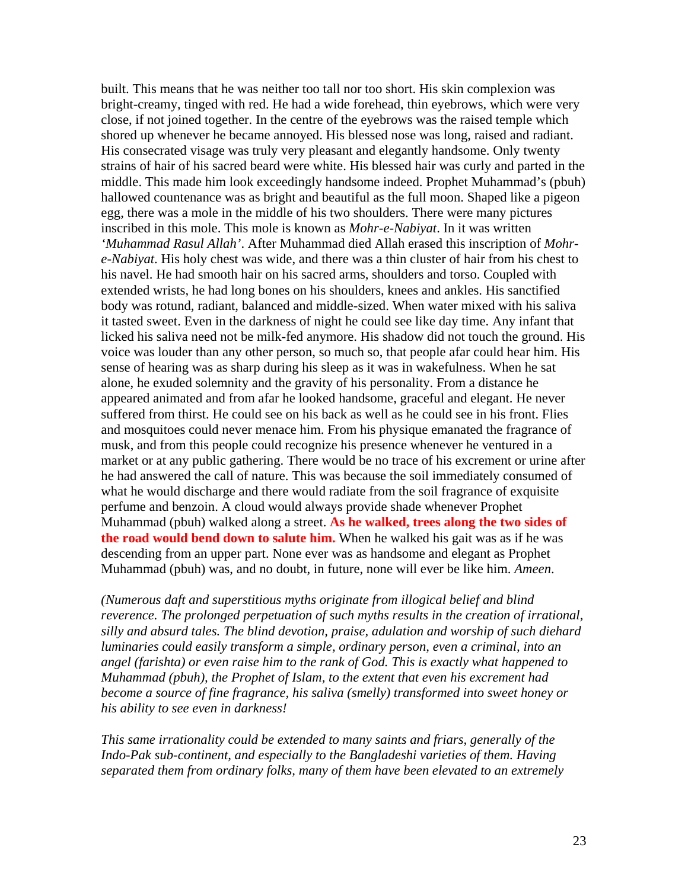built. This means that he was neither too tall nor too short. His skin complexion was bright-creamy, tinged with red. He had a wide forehead, thin eyebrows, which were very close, if not joined together. In the centre of the eyebrows was the raised temple which shored up whenever he became annoyed. His blessed nose was long, raised and radiant. His consecrated visage was truly very pleasant and elegantly handsome. Only twenty strains of hair of his sacred beard were white. His blessed hair was curly and parted in the middle. This made him look exceedingly handsome indeed. Prophet Muhammad's (pbuh) hallowed countenance was as bright and beautiful as the full moon. Shaped like a pigeon egg, there was a mole in the middle of his two shoulders. There were many pictures inscribed in this mole. This mole is known as *Mohr-e-Nabiyat*. In it was written *'Muhammad Rasul Allah'*. After Muhammad died Allah erased this inscription of *Mohre-Nabiyat*. His holy chest was wide, and there was a thin cluster of hair from his chest to his navel. He had smooth hair on his sacred arms, shoulders and torso. Coupled with extended wrists, he had long bones on his shoulders, knees and ankles. His sanctified body was rotund, radiant, balanced and middle-sized. When water mixed with his saliva it tasted sweet. Even in the darkness of night he could see like day time. Any infant that licked his saliva need not be milk-fed anymore. His shadow did not touch the ground. His voice was louder than any other person, so much so, that people afar could hear him. His sense of hearing was as sharp during his sleep as it was in wakefulness. When he sat alone, he exuded solemnity and the gravity of his personality. From a distance he appeared animated and from afar he looked handsome, graceful and elegant. He never suffered from thirst. He could see on his back as well as he could see in his front. Flies and mosquitoes could never menace him. From his physique emanated the fragrance of musk, and from this people could recognize his presence whenever he ventured in a market or at any public gathering. There would be no trace of his excrement or urine after he had answered the call of nature. This was because the soil immediately consumed of what he would discharge and there would radiate from the soil fragrance of exquisite perfume and benzoin. A cloud would always provide shade whenever Prophet Muhammad (pbuh) walked along a street. **As he walked, trees along the two sides of the road would bend down to salute him.** When he walked his gait was as if he was descending from an upper part. None ever was as handsome and elegant as Prophet Muhammad (pbuh) was, and no doubt, in future, none will ever be like him. *Ameen*.

*(Numerous daft and superstitious myths originate from illogical belief and blind reverence. The prolonged perpetuation of such myths results in the creation of irrational, silly and absurd tales. The blind devotion, praise, adulation and worship of such diehard luminaries could easily transform a simple, ordinary person, even a criminal, into an angel (farishta) or even raise him to the rank of God. This is exactly what happened to Muhammad (pbuh), the Prophet of Islam, to the extent that even his excrement had become a source of fine fragrance, his saliva (smelly) transformed into sweet honey or his ability to see even in darkness!* 

*This same irrationality could be extended to many saints and friars, generally of the Indo-Pak sub-continent, and especially to the Bangladeshi varieties of them. Having separated them from ordinary folks, many of them have been elevated to an extremely*